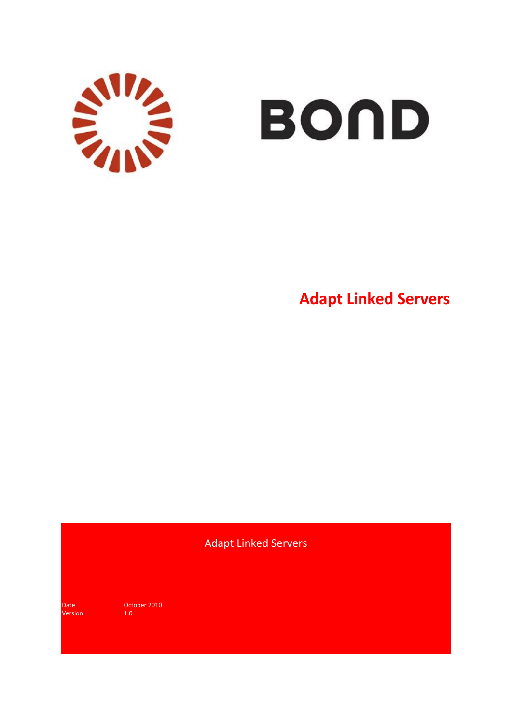

# BOND

**Adapt Linked Servers**

Adapt Linked Servers

Version

Date October 2010<br>
Version 1.0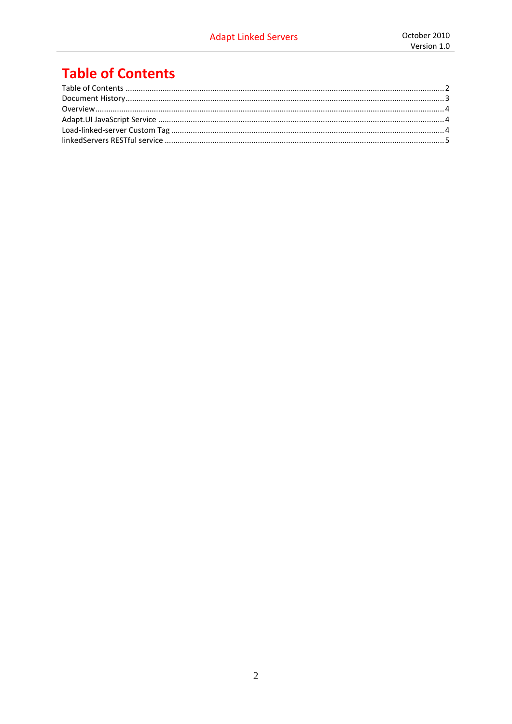## <span id="page-1-0"></span>**Table of Contents**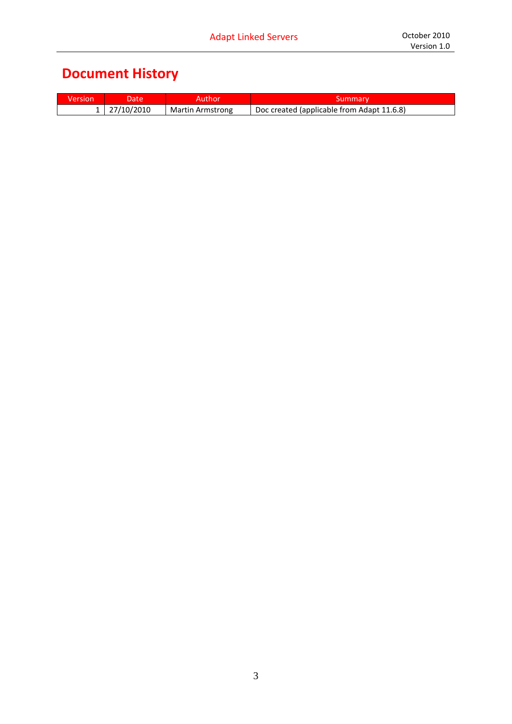# <span id="page-2-0"></span>**Document History**

| ersion | ate   | nor              |                                            |
|--------|-------|------------------|--------------------------------------------|
|        | '2010 | Martin Armstrong | Doc created (applicable from Adapt 11.6.8) |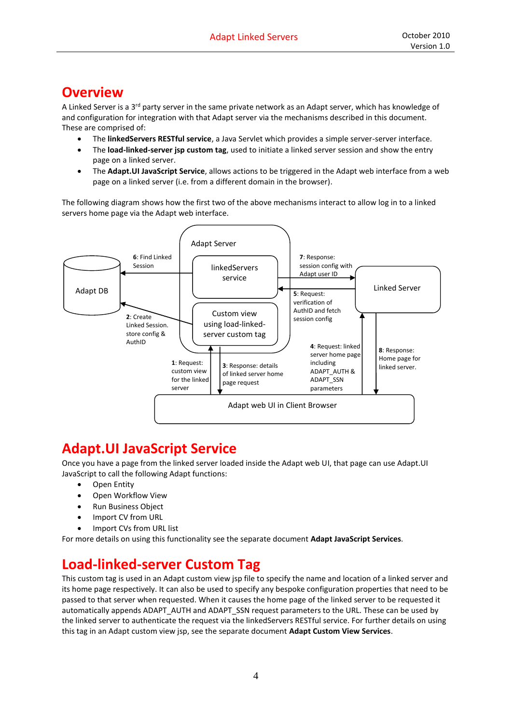### <span id="page-3-0"></span>**Overview**

A Linked Server is a 3<sup>rd</sup> party server in the same private network as an Adapt server, which has knowledge of and configuration for integration with that Adapt server via the mechanisms described in this document. These are comprised of:

- The **linkedServers RESTful service**, a Java Servlet which provides a simple server-server interface.
- The **load-linked-server jsp custom tag**, used to initiate a linked server session and show the entry page on a linked server.
- The **Adapt.UI JavaScript Service**, allows actions to be triggered in the Adapt web interface from a web page on a linked server (i.e. from a different domain in the browser).

The following diagram shows how the first two of the above mechanisms interact to allow log in to a linked servers home page via the Adapt web interface.



## <span id="page-3-1"></span>**Adapt.UI JavaScript Service**

Once you have a page from the linked server loaded inside the Adapt web UI, that page can use Adapt.UI JavaScript to call the following Adapt functions:

- Open Entity
- Open Workflow View
- Run Business Object
- Import CV from URL
- Import CVs from URL list

For more details on using this functionality see the separate document **Adapt JavaScript Services**.

## <span id="page-3-2"></span>**Load-linked-server Custom Tag**

This custom tag is used in an Adapt custom view jsp file to specify the name and location of a linked server and its home page respectively. It can also be used to specify any bespoke configuration properties that need to be passed to that server when requested. When it causes the home page of the linked server to be requested it automatically appends ADAPT\_AUTH and ADAPT\_SSN request parameters to the URL. These can be used by the linked server to authenticate the request via the linkedServers RESTful service. For further details on using this tag in an Adapt custom view jsp, see the separate document **Adapt Custom View Services**.